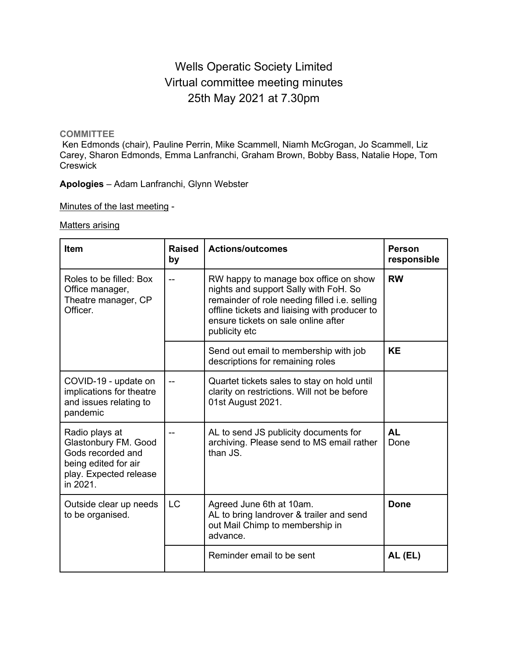# Wells Operatic Society Limited Virtual committee meeting minutes 25th May 2021 at 7.30pm

#### **COMMITTEE**

Ken Edmonds (chair), Pauline Perrin, Mike Scammell, Niamh McGrogan, Jo Scammell, Liz Carey, Sharon Edmonds, Emma Lanfranchi, Graham Brown, Bobby Bass, Natalie Hope, Tom **Creswick** 

**Apologies** – Adam Lanfranchi, Glynn Webster

Minutes of the last meeting -

Matters arising

| <b>Item</b>                                                                                                               | Raised<br>by | <b>Actions/outcomes</b>                                                                                                                                                                                                                  | <b>Person</b><br>responsible |
|---------------------------------------------------------------------------------------------------------------------------|--------------|------------------------------------------------------------------------------------------------------------------------------------------------------------------------------------------------------------------------------------------|------------------------------|
| Roles to be filled: Box<br>Office manager,<br>Theatre manager, CP<br>Officer.                                             |              | RW happy to manage box office on show<br>nights and support Sally with FoH. So<br>remainder of role needing filled i.e. selling<br>offline tickets and liaising with producer to<br>ensure tickets on sale online after<br>publicity etc | <b>RW</b>                    |
|                                                                                                                           |              | Send out email to membership with job<br>descriptions for remaining roles                                                                                                                                                                | <b>KE</b>                    |
| COVID-19 - update on<br>implications for theatre<br>and issues relating to<br>pandemic                                    |              | Quartet tickets sales to stay on hold until<br>clarity on restrictions. Will not be before<br>01st August 2021.                                                                                                                          |                              |
| Radio plays at<br>Glastonbury FM. Good<br>Gods recorded and<br>being edited for air<br>play. Expected release<br>in 2021. |              | AL to send JS publicity documents for<br>archiving. Please send to MS email rather<br>than JS.                                                                                                                                           | <b>AL</b><br>Done            |
| Outside clear up needs<br>to be organised.                                                                                | <b>LC</b>    | Agreed June 6th at 10am.<br>AL to bring landrover & trailer and send<br>out Mail Chimp to membership in<br>advance.                                                                                                                      | Done                         |
|                                                                                                                           |              | Reminder email to be sent                                                                                                                                                                                                                | AL (EL)                      |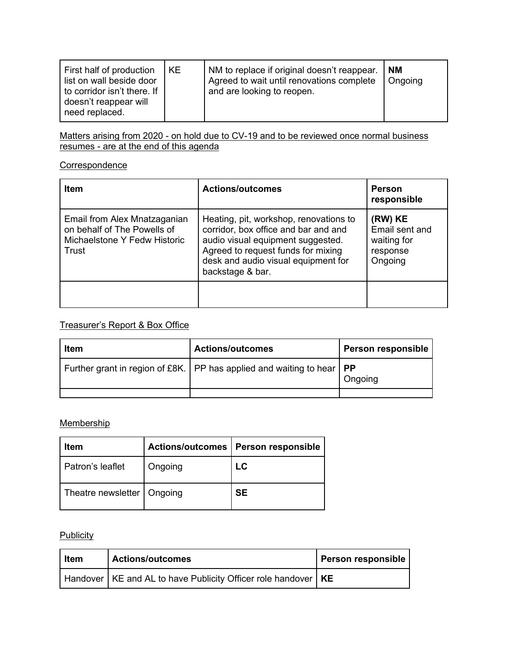| First half of production<br>list on wall beside door<br>to corridor isn't there. If<br>doesn't reappear will<br>need replaced. | KE. | NM to replace if original doesn't reappear.<br>Agreed to wait until renovations complete<br>and are looking to reopen. | <b>NM</b><br>Ongoing |
|--------------------------------------------------------------------------------------------------------------------------------|-----|------------------------------------------------------------------------------------------------------------------------|----------------------|
|                                                                                                                                |     |                                                                                                                        |                      |

Matters arising from 2020 - on hold due to CV-19 and to be reviewed once normal business resumes - are at the end of this agenda

#### **Correspondence**

| <b>Item</b>                                                                                          | <b>Actions/outcomes</b>                                                                                                                                                                                              | <b>Person</b><br>responsible                                    |
|------------------------------------------------------------------------------------------------------|----------------------------------------------------------------------------------------------------------------------------------------------------------------------------------------------------------------------|-----------------------------------------------------------------|
| Email from Alex Mnatzaganian<br>on behalf of The Powells of<br>Michaelstone Y Fedw Historic<br>Trust | Heating, pit, workshop, renovations to<br>corridor, box office and bar and and<br>audio visual equipment suggested.<br>Agreed to request funds for mixing<br>desk and audio visual equipment for<br>backstage & bar. | (RW) KE<br>Email sent and<br>waiting for<br>response<br>Ongoing |
|                                                                                                      |                                                                                                                                                                                                                      |                                                                 |

## Treasurer's Report & Box Office

| <b>Item</b> | <b>Actions/outcomes</b>                                                               | <b>Person responsible</b> |
|-------------|---------------------------------------------------------------------------------------|---------------------------|
|             | Further grant in region of £8K. $\vert$ PP has applied and waiting to hear $\vert$ PP | Ongoing                   |
|             |                                                                                       |                           |

### **Membership**

| Item                         |         | Actions/outcomes   Person responsible |
|------------------------------|---------|---------------------------------------|
| Patron's leaflet             | Ongoing | LC.                                   |
| Theatre newsletter   Ongoing |         | SE                                    |

## **Publicity**

| I Item | <b>Actions/outcomes</b>                                         | Person responsible |
|--------|-----------------------------------------------------------------|--------------------|
|        | Handover KE and AL to have Publicity Officer role handover   KE |                    |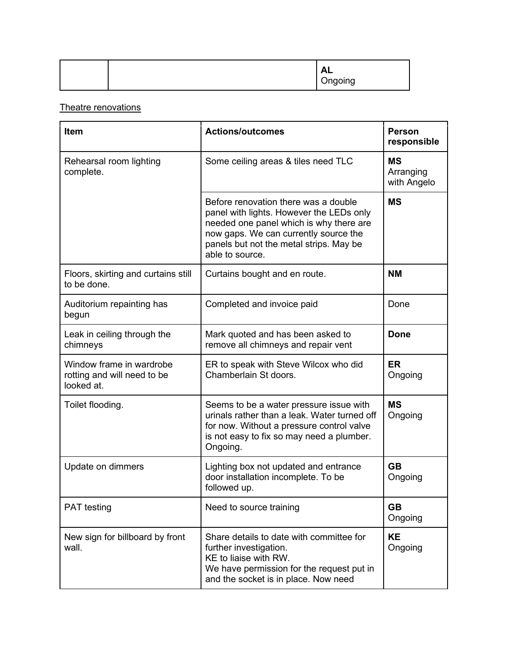| <b>AL</b><br>Ongoing |
|----------------------|
|----------------------|

### Theatre renovations

| <b>Item</b>                                                           | <b>Actions/outcomes</b>                                                                                                                                                                                                            | <b>Person</b><br>responsible          |
|-----------------------------------------------------------------------|------------------------------------------------------------------------------------------------------------------------------------------------------------------------------------------------------------------------------------|---------------------------------------|
| Rehearsal room lighting<br>complete.                                  | Some ceiling areas & tiles need TLC                                                                                                                                                                                                | <b>MS</b><br>Arranging<br>with Angelo |
|                                                                       | Before renovation there was a double<br>panel with lights. However the LEDs only<br>needed one panel which is why there are<br>now gaps. We can currently source the<br>panels but not the metal strips. May be<br>able to source. | <b>MS</b>                             |
| Floors, skirting and curtains still<br>to be done.                    | Curtains bought and en route.                                                                                                                                                                                                      | <b>NM</b>                             |
| Auditorium repainting has<br>begun                                    | Completed and invoice paid                                                                                                                                                                                                         | Done                                  |
| Leak in ceiling through the<br>chimneys                               | Mark quoted and has been asked to<br>remove all chimneys and repair vent                                                                                                                                                           | <b>Done</b>                           |
| Window frame in wardrobe<br>rotting and will need to be<br>looked at. | ER to speak with Steve Wilcox who did<br>Chamberlain St doors.                                                                                                                                                                     | <b>ER</b><br>Ongoing                  |
| Toilet flooding.                                                      | Seems to be a water pressure issue with<br>urinals rather than a leak. Water turned off<br>for now. Without a pressure control valve<br>is not easy to fix so may need a plumber.<br>Ongoing.                                      | <b>MS</b><br>Ongoing                  |
| Update on dimmers                                                     | Lighting box not updated and entrance<br>door installation incomplete. To be<br>followed up.                                                                                                                                       | <b>GB</b><br>Ongoing                  |
| <b>PAT</b> testing                                                    | Need to source training                                                                                                                                                                                                            | <b>GB</b><br>Ongoing                  |
| New sign for billboard by front<br>wall.                              | Share details to date with committee for<br>further investigation.<br>KE to liaise with RW.<br>We have permission for the request put in<br>and the socket is in place. Now need                                                   | <b>KE</b><br>Ongoing                  |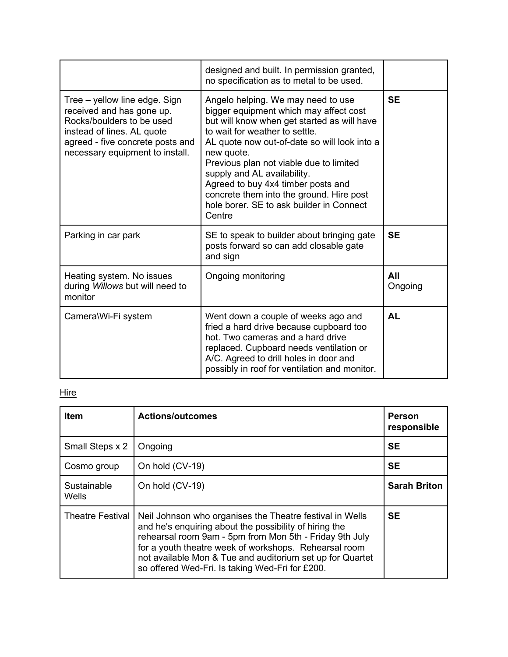|                                                                                                                                                                                              | designed and built. In permission granted,<br>no specification as to metal to be used.                                                                                                                                                                                                                                                                                                                                                        |                |
|----------------------------------------------------------------------------------------------------------------------------------------------------------------------------------------------|-----------------------------------------------------------------------------------------------------------------------------------------------------------------------------------------------------------------------------------------------------------------------------------------------------------------------------------------------------------------------------------------------------------------------------------------------|----------------|
| Tree - yellow line edge. Sign<br>received and has gone up.<br>Rocks/boulders to be used<br>instead of lines. AL quote<br>agreed - five concrete posts and<br>necessary equipment to install. | Angelo helping. We may need to use<br>bigger equipment which may affect cost<br>but will know when get started as will have<br>to wait for weather to settle.<br>AL quote now out-of-date so will look into a<br>new quote.<br>Previous plan not viable due to limited<br>supply and AL availability.<br>Agreed to buy 4x4 timber posts and<br>concrete them into the ground. Hire post<br>hole borer. SE to ask builder in Connect<br>Centre | <b>SE</b>      |
| Parking in car park                                                                                                                                                                          | SE to speak to builder about bringing gate<br>posts forward so can add closable gate<br>and sign                                                                                                                                                                                                                                                                                                                                              | <b>SE</b>      |
| Heating system. No issues<br>during Willows but will need to<br>monitor                                                                                                                      | Ongoing monitoring                                                                                                                                                                                                                                                                                                                                                                                                                            | All<br>Ongoing |
| Camera\Wi-Fi system                                                                                                                                                                          | Went down a couple of weeks ago and<br>fried a hard drive because cupboard too<br>hot. Two cameras and a hard drive<br>replaced. Cupboard needs ventilation or<br>A/C. Agreed to drill holes in door and<br>possibly in roof for ventilation and monitor.                                                                                                                                                                                     | <b>AL</b>      |

## **Hire**

| <b>Item</b>                 | <b>Actions/outcomes</b>                                                                                                                                                                                                                                                                                                                                | <b>Person</b><br>responsible |
|-----------------------------|--------------------------------------------------------------------------------------------------------------------------------------------------------------------------------------------------------------------------------------------------------------------------------------------------------------------------------------------------------|------------------------------|
| Small Steps x 2             | Ongoing                                                                                                                                                                                                                                                                                                                                                | <b>SE</b>                    |
| Cosmo group                 | On hold (CV-19)                                                                                                                                                                                                                                                                                                                                        | <b>SE</b>                    |
| Sustainable<br><b>Wells</b> | On hold (CV-19)                                                                                                                                                                                                                                                                                                                                        | <b>Sarah Briton</b>          |
| <b>Theatre Festival</b>     | Neil Johnson who organises the Theatre festival in Wells<br>and he's enquiring about the possibility of hiring the<br>rehearsal room 9am - 5pm from Mon 5th - Friday 9th July<br>for a youth theatre week of workshops. Rehearsal room<br>not available Mon & Tue and auditorium set up for Quartet<br>so offered Wed-Fri. Is taking Wed-Fri for £200. | <b>SE</b>                    |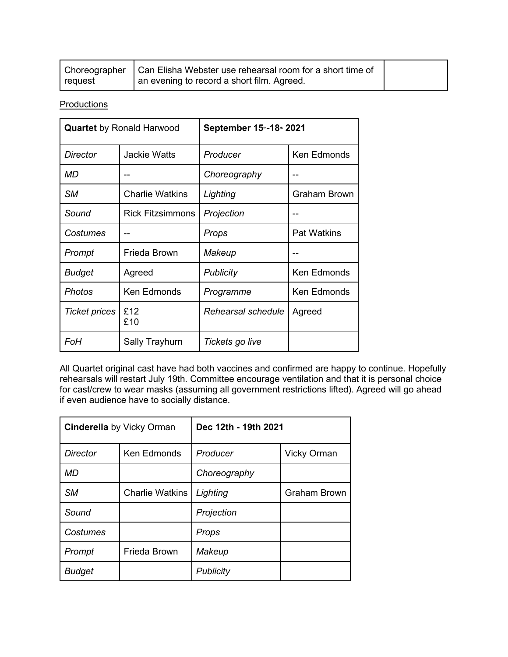|         | Choreographer   Can Elisha Webster use rehearsal room for a short time of |  |
|---------|---------------------------------------------------------------------------|--|
| request | an evening to record a short film. Agreed.                                |  |

**Productions** 

| <b>Quartet</b> by Ronald Harwood |                         | September 15th-18th 2021 |                     |
|----------------------------------|-------------------------|--------------------------|---------------------|
| Director                         | Jackie Watts            | Producer                 | Ken Edmonds         |
| MD                               |                         | Choreography             |                     |
| SМ                               | <b>Charlie Watkins</b>  | Lighting                 | <b>Graham Brown</b> |
| Sound                            | <b>Rick Fitzsimmons</b> | Projection               |                     |
| Costumes                         |                         | Props                    | <b>Pat Watkins</b>  |
| Prompt                           | Frieda Brown            | Makeup                   |                     |
| Budget                           | Agreed                  | <b>Publicity</b>         | <b>Ken Edmonds</b>  |
| Photos                           | <b>Ken Edmonds</b>      | Programme                | Ken Edmonds         |
| <b>Ticket prices</b>             | £12<br>£10              | Rehearsal schedule       | Agreed              |
| FoH                              | Sally Trayhurn          | Tickets go live          |                     |

All Quartet original cast have had both vaccines and confirmed are happy to continue. Hopefully rehearsals will restart July 19th. Committee encourage ventilation and that it is personal choice for cast/crew to wear masks (assuming all government restrictions lifted). Agreed will go ahead if even audience have to socially distance.

| <b>Cinderella</b> by Vicky Orman |                        | Dec 12th - 19th 2021 |                     |  |
|----------------------------------|------------------------|----------------------|---------------------|--|
| <b>Director</b>                  | Ken Edmonds            | Producer             | <b>Vicky Orman</b>  |  |
| MD                               |                        | Choreography         |                     |  |
| <b>SM</b>                        | <b>Charlie Watkins</b> | Lighting             | <b>Graham Brown</b> |  |
| Sound                            |                        | Projection           |                     |  |
| Costumes                         |                        | Props                |                     |  |
| Prompt                           | Frieda Brown           | Makeup               |                     |  |
| <b>Budget</b>                    |                        | Publicity            |                     |  |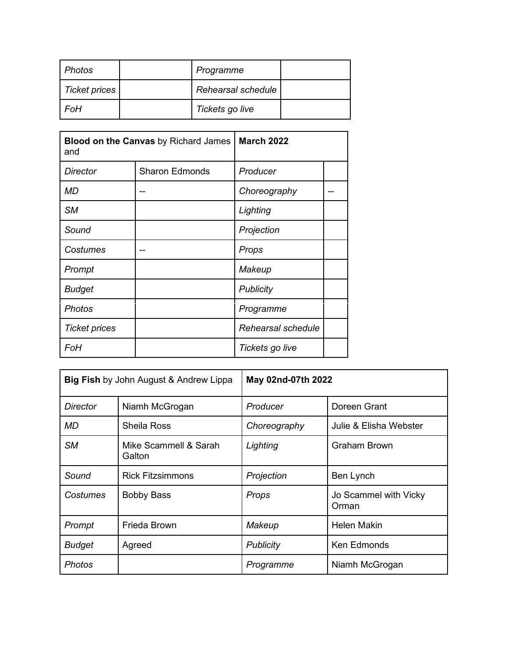| <b>Photos</b>        | Programme          |  |
|----------------------|--------------------|--|
| <b>Ticket prices</b> | Rehearsal schedule |  |
| FoH                  | Tickets go live    |  |

| <b>Blood on the Canvas</b> by Richard James<br>and |                       | <b>March 2022</b>  |  |
|----------------------------------------------------|-----------------------|--------------------|--|
| Director                                           | <b>Sharon Edmonds</b> | Producer           |  |
| MD                                                 |                       | Choreography       |  |
| <b>SM</b>                                          |                       | Lighting           |  |
| Sound                                              |                       | Projection         |  |
| Costumes                                           |                       | Props              |  |
| Prompt                                             |                       | Makeup             |  |
| <b>Budget</b>                                      |                       | Publicity          |  |
| <b>Photos</b>                                      |                       | Programme          |  |
| <b>Ticket prices</b>                               |                       | Rehearsal schedule |  |
| FoH                                                |                       | Tickets go live    |  |

| <b>Big Fish by John August &amp; Andrew Lippa</b> |                                 | May 02nd-07th 2022 |                                |
|---------------------------------------------------|---------------------------------|--------------------|--------------------------------|
| Director                                          | Niamh McGrogan                  | Producer           | Doreen Grant                   |
| MD                                                | <b>Sheila Ross</b>              | Choreography       | Julie & Elisha Webster         |
| <b>SM</b>                                         | Mike Scammell & Sarah<br>Galton | Lighting           | Graham Brown                   |
| Sound                                             | <b>Rick Fitzsimmons</b>         | Projection         | Ben Lynch                      |
| Costumes                                          | <b>Bobby Bass</b>               | Props              | Jo Scammel with Vicky<br>Orman |
| Prompt                                            | Frieda Brown                    | Makeup             | <b>Helen Makin</b>             |
| <b>Budget</b>                                     | Agreed                          | <b>Publicity</b>   | <b>Ken Edmonds</b>             |
| <b>Photos</b>                                     |                                 | Programme          | Niamh McGrogan                 |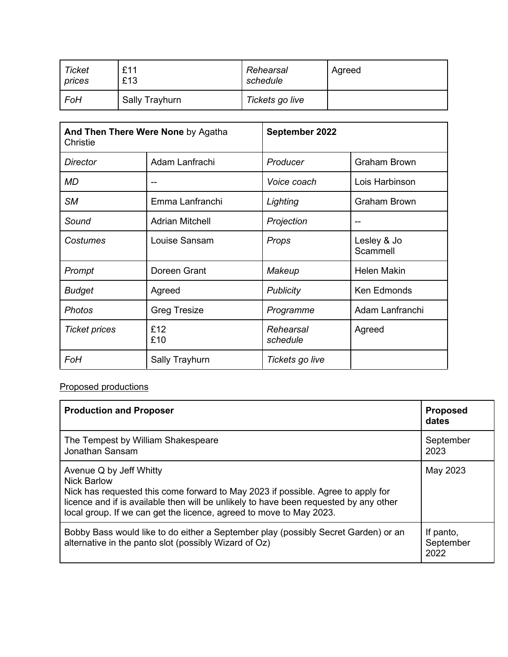| <b>Ticket</b> | £11            | Rehearsal       | Agreed |
|---------------|----------------|-----------------|--------|
| prices        | £13            | schedule        |        |
| FoH           | Sally Trayhurn | Tickets go live |        |

| And Then There Were None by Agatha<br>Christie |                        | September 2022        |                         |
|------------------------------------------------|------------------------|-----------------------|-------------------------|
| <b>Director</b>                                | Adam Lanfrachi         | Producer              | <b>Graham Brown</b>     |
| <b>MD</b>                                      | $-$                    | Voice coach           | Lois Harbinson          |
| <b>SM</b>                                      | Emma Lanfranchi        | Lighting              | <b>Graham Brown</b>     |
| Sound                                          | <b>Adrian Mitchell</b> | Projection            | --                      |
| Costumes                                       | Louise Sansam          | Props                 | Lesley & Jo<br>Scammell |
| Prompt                                         | Doreen Grant           | Makeup                | <b>Helen Makin</b>      |
| <b>Budget</b>                                  | Agreed                 | <b>Publicity</b>      | <b>Ken Edmonds</b>      |
| <b>Photos</b>                                  | <b>Greg Tresize</b>    | Programme             | Adam Lanfranchi         |
| <b>Ticket prices</b>                           | £12<br>£10             | Rehearsal<br>schedule | Agreed                  |
| FoH                                            | Sally Trayhurn         | Tickets go live       |                         |

### Proposed productions

| <b>Production and Proposer</b>                                                                                                                                                                                                                                                                    | <b>Proposed</b><br>dates       |
|---------------------------------------------------------------------------------------------------------------------------------------------------------------------------------------------------------------------------------------------------------------------------------------------------|--------------------------------|
| The Tempest by William Shakespeare<br>Jonathan Sansam                                                                                                                                                                                                                                             | September<br>2023              |
| Avenue Q by Jeff Whitty<br><b>Nick Barlow</b><br>Nick has requested this come forward to May 2023 if possible. Agree to apply for<br>licence and if is available then will be unlikely to have been requested by any other<br>local group. If we can get the licence, agreed to move to May 2023. | May 2023                       |
| Bobby Bass would like to do either a September play (possibly Secret Garden) or an<br>alternative in the panto slot (possibly Wizard of Oz)                                                                                                                                                       | If panto,<br>September<br>2022 |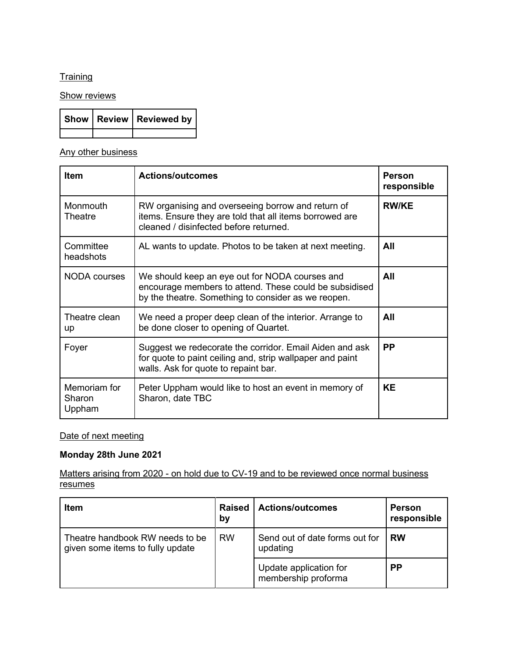### **Training**

**Show reviews** 

|  | Show   Review   Reviewed by |
|--|-----------------------------|
|  |                             |

### Any other business

| <b>Item</b>                      | <b>Actions/outcomes</b>                                                                                                                                         | Person<br>responsible |
|----------------------------------|-----------------------------------------------------------------------------------------------------------------------------------------------------------------|-----------------------|
| Monmouth<br>Theatre              | RW organising and overseeing borrow and return of<br>items. Ensure they are told that all items borrowed are<br>cleaned / disinfected before returned.          | <b>RW/KE</b>          |
| Committee<br>headshots           | AL wants to update. Photos to be taken at next meeting.                                                                                                         | All                   |
| NODA courses                     | We should keep an eye out for NODA courses and<br>encourage members to attend. These could be subsidised<br>by the theatre. Something to consider as we reopen. | All                   |
| Theatre clean<br>up              | We need a proper deep clean of the interior. Arrange to<br>be done closer to opening of Quartet.                                                                | All                   |
| Foyer                            | Suggest we redecorate the corridor. Email Aiden and ask<br>for quote to paint ceiling and, strip wallpaper and paint<br>walls. Ask for quote to repaint bar.    | <b>PP</b>             |
| Memoriam for<br>Sharon<br>Uppham | Peter Uppham would like to host an event in memory of<br>Sharon, date TBC                                                                                       | <b>KE</b>             |

#### Date of next meeting

### **Monday 28th June 2021**

Matters arising from 2020 - on hold due to CV-19 and to be reviewed once normal business resumes

| <b>Item</b>                                                         | <b>Raised</b><br>by | <b>Actions/outcomes</b>                       | <b>Person</b><br>responsible |
|---------------------------------------------------------------------|---------------------|-----------------------------------------------|------------------------------|
| Theatre handbook RW needs to be<br>given some items to fully update | <b>RW</b>           | Send out of date forms out for<br>updating    | <b>RW</b>                    |
|                                                                     |                     | Update application for<br>membership proforma | <b>PP</b>                    |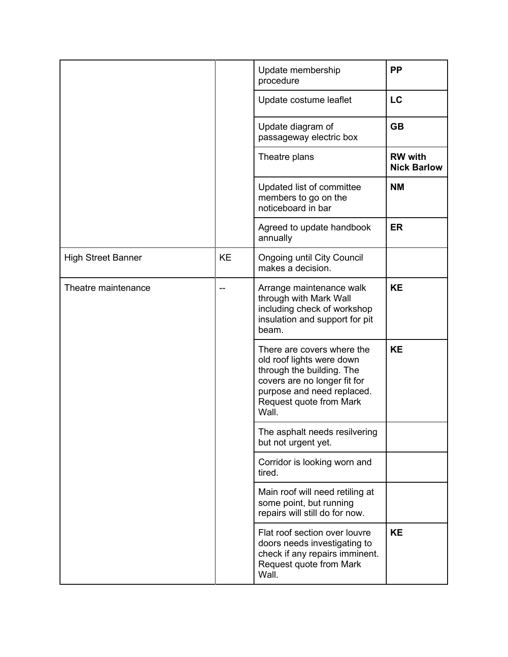|                           |           | Update membership<br>procedure                                                                                                                                                         | <b>PP</b>                            |
|---------------------------|-----------|----------------------------------------------------------------------------------------------------------------------------------------------------------------------------------------|--------------------------------------|
|                           |           | Update costume leaflet                                                                                                                                                                 | LC                                   |
|                           |           | Update diagram of<br>passageway electric box                                                                                                                                           | <b>GB</b>                            |
|                           |           | Theatre plans                                                                                                                                                                          | <b>RW</b> with<br><b>Nick Barlow</b> |
|                           |           | Updated list of committee<br>members to go on the<br>noticeboard in bar                                                                                                                | <b>NM</b>                            |
|                           |           | Agreed to update handbook<br>annually                                                                                                                                                  | <b>ER</b>                            |
| <b>High Street Banner</b> | <b>KE</b> | <b>Ongoing until City Council</b><br>makes a decision.                                                                                                                                 |                                      |
| Theatre maintenance       |           | Arrange maintenance walk<br>through with Mark Wall<br>including check of workshop<br>insulation and support for pit<br>beam.                                                           | <b>KE</b>                            |
|                           |           | There are covers where the<br>old roof lights were down<br>through the building. The<br>covers are no longer fit for<br>purpose and need replaced.<br>Request quote from Mark<br>Wall. | <b>KE</b>                            |
|                           |           | The asphalt needs resilvering<br>but not urgent yet.                                                                                                                                   |                                      |
|                           |           | Corridor is looking worn and<br>tired.                                                                                                                                                 |                                      |
|                           |           | Main roof will need retiling at<br>some point, but running<br>repairs will still do for now.                                                                                           |                                      |
|                           |           | Flat roof section over louvre<br>doors needs investigating to<br>check if any repairs imminent.<br>Request quote from Mark<br>Wall.                                                    | <b>KE</b>                            |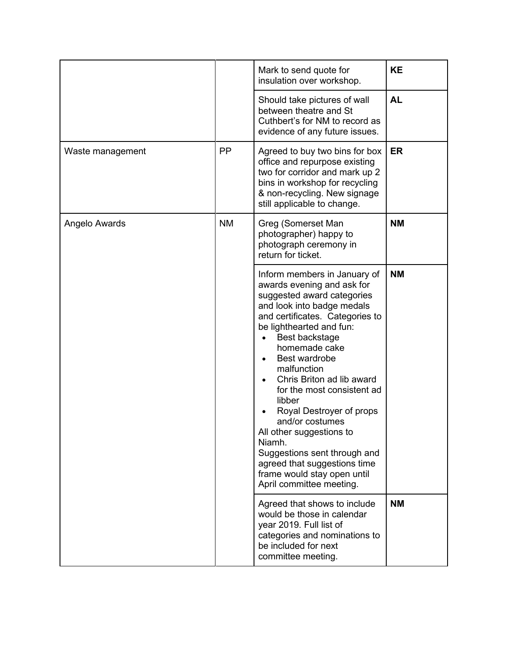|                  |           | Mark to send quote for<br>insulation over workshop.                                                                                                                                                                                                                                                                                                                                                                                                                                                                                                        | <b>KE</b> |
|------------------|-----------|------------------------------------------------------------------------------------------------------------------------------------------------------------------------------------------------------------------------------------------------------------------------------------------------------------------------------------------------------------------------------------------------------------------------------------------------------------------------------------------------------------------------------------------------------------|-----------|
|                  |           | Should take pictures of wall<br>between theatre and St<br>Cuthbert's for NM to record as<br>evidence of any future issues.                                                                                                                                                                                                                                                                                                                                                                                                                                 | <b>AL</b> |
| Waste management | <b>PP</b> | Agreed to buy two bins for box<br>office and repurpose existing<br>two for corridor and mark up 2<br>bins in workshop for recycling<br>& non-recycling. New signage<br>still applicable to change.                                                                                                                                                                                                                                                                                                                                                         | <b>ER</b> |
| Angelo Awards    | <b>NM</b> | Greg (Somerset Man<br>photographer) happy to<br>photograph ceremony in<br>return for ticket.                                                                                                                                                                                                                                                                                                                                                                                                                                                               | <b>NM</b> |
|                  |           | Inform members in January of<br>awards evening and ask for<br>suggested award categories<br>and look into badge medals<br>and certificates. Categories to<br>be lighthearted and fun:<br>Best backstage<br>homemade cake<br>Best wardrobe<br>$\bullet$<br>malfunction<br>Chris Briton ad lib award<br>for the most consistent ad<br>libber<br>Royal Destroyer of props<br>and/or costumes<br>All other suggestions to<br>Niamh.<br>Suggestions sent through and<br>agreed that suggestions time<br>frame would stay open until<br>April committee meeting. | <b>NM</b> |
|                  |           | Agreed that shows to include<br>would be those in calendar<br>year 2019. Full list of<br>categories and nominations to<br>be included for next<br>committee meeting.                                                                                                                                                                                                                                                                                                                                                                                       | <b>NM</b> |